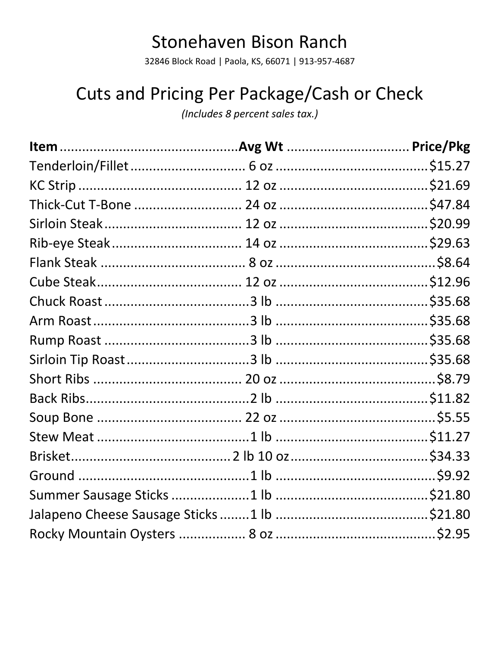## **Stonehaven Bison Ranch**

32846 Block Road | Paola, KS, 66071 | 913-957-4687

## Cuts and Pricing Per Package/Cash or Check

(Includes 8 percent sales tax.)